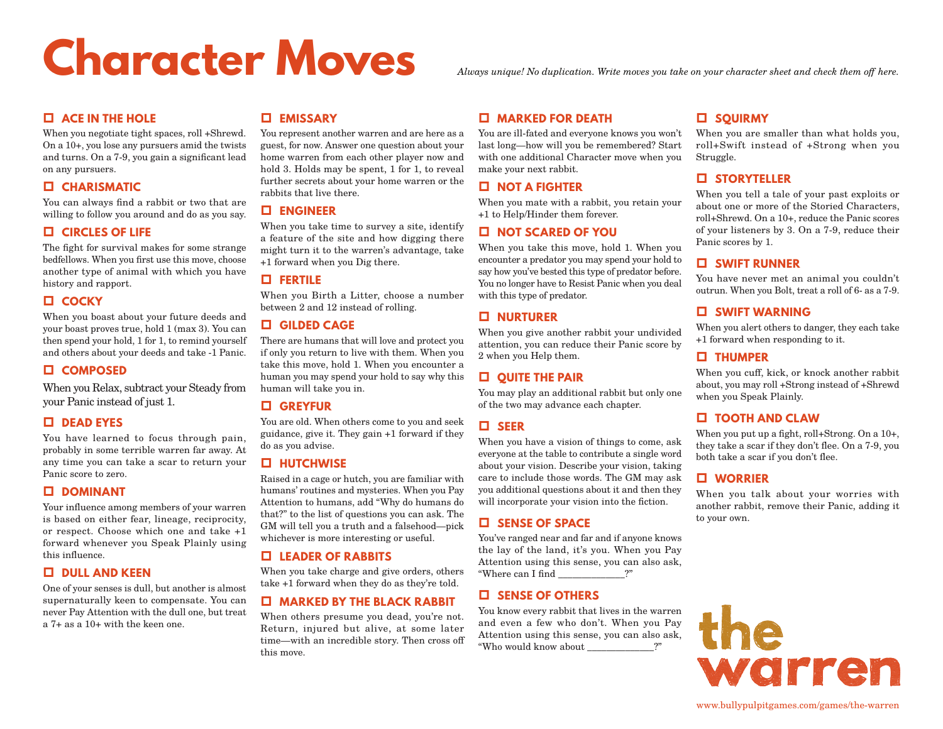# **Character Moves** *Always unique! No duplication. Write moves you take on your character sheet and check them off here.*

## **ACE IN THE HOLE**

When you negotiate tight spaces, roll +Shrewd. On a 10+, you lose any pursuers amid the twists and turns. On a 7-9, you gain a significant lead on any pursuers.

### **CHARISMATIC**

You can always find a rabbit or two that are willing to follow you around and do as you say.

### **CIRCLES OF LIFE**

The fight for survival makes for some strange bedfellows. When you first use this move, choose another type of animal with which you have history and rapport.

## **COCKY**

When you boast about your future deeds and your boast proves true, hold 1 (max 3). You can then spend your hold, 1 for 1, to remind yourself and others about your deeds and take -1 Panic.

#### **COMPOSED**

When you Relax, subtract your Steady from your Panic instead of just 1.

#### **DEAD EYES**

You have learned to focus through pain, probably in some terrible warren far away. At any time you can take a scar to return your Panic score to zero.

#### **DOMINANT**

Your influence among members of your warren is based on either fear, lineage, reciprocity, or respect. Choose which one and take +1 forward whenever you Speak Plainly using this influence.

#### **DULL AND KEEN**

One of your senses is dull, but another is almost supernaturally keen to compensate. You can never Pay Attention with the dull one, but treat a 7+ as a 10+ with the keen one.

#### **EMISSARY**

You represent another warren and are here as a guest, for now. Answer one question about your home warren from each other player now and hold 3. Holds may be spent, 1 for 1, to reveal further secrets about your home warren or the rabbits that live there.

#### **ENGINEER**

When you take time to survey a site, identify a feature of the site and how digging there might turn it to the warren's advantage, take +1 forward when you Dig there.

#### **FERTILE**

When you Birth a Litter, choose a number between 2 and 12 instead of rolling.

#### **GILDED CAGE**

There are humans that will love and protect you if only you return to live with them. When you take this move, hold 1. When you encounter a human you may spend your hold to say why this human will take you in.

#### **GREYFUR**

You are old. When others come to you and seek guidance, give it. They gain +1 forward if they do as you advise.

#### **HUTCHWISE**

Raised in a cage or hutch, you are familiar with humans' routines and mysteries. When you Pay Attention to humans, add "Why do humans do that?" to the list of questions you can ask. The GM will tell you a truth and a falsehood—pick whichever is more interesting or useful.

#### **LEADER OF RABBITS**

When you take charge and give orders, others take +1 forward when they do as they're told.

#### **MARKED BY THE BLACK RABBIT**

When others presume you dead, you're not. Return, injured but alive, at some later time—with an incredible story. Then cross off this move.

#### **MARKED FOR DEATH**

You are ill-fated and everyone knows you won't last long—how will you be remembered? Start with one additional Character move when you make your next rabbit.

## **NOT A FIGHTER**

When you mate with a rabbit, you retain your +1 to Help/Hinder them forever.

## **NOT SCARED OF YOU**

When you take this move, hold 1. When you encounter a predator you may spend your hold to say how you've bested this type of predator before. You no longer have to Resist Panic when you deal with this type of predator.

## **NURTURER**

When you give another rabbit your undivided attention, you can reduce their Panic score by 2 when you Help them.

## **QUITE THE PAIR**

You may play an additional rabbit but only one of the two may advance each chapter.

#### **SEER**

When you have a vision of things to come, ask everyone at the table to contribute a single word about your vision. Describe your vision, taking care to include those words. The GM may ask you additional questions about it and then they will incorporate your vision into the fiction.

#### **SENSE OF SPACE**

You've ranged near and far and if anyone knows the lay of the land, it's you. When you Pay Attention using this sense, you can also ask, "Where can I find \_\_\_\_\_\_\_\_\_\_\_

### **SENSE OF OTHERS**

You know every rabbit that lives in the warren and even a few who don't. When you Pay Attention using this sense, you can also ask, "Who would know about \_\_\_\_\_\_\_\_\_\_\_\_\_\_?"

#### **SQUIRMY**

When you are smaller than what holds you, roll+Swift instead of +Strong when you Struggle.

#### **STORYTELLER**

When you tell a tale of your past exploits or about one or more of the Storied Characters, roll+Shrewd. On a 10+, reduce the Panic scores of your listeners by 3. On a 7-9, reduce their Panic scores by 1.

#### **SWIFT RUNNER**

You have never met an animal you couldn't outrun. When you Bolt, treat a roll of 6- as a 7-9.

#### **SWIFT WARNING**

When you alert others to danger, they each take +1 forward when responding to it.

#### **THUMPER**

When you cuff, kick, or knock another rabbit about, you may roll +Strong instead of +Shrewd when you Speak Plainly.

#### **TOOTH AND CLAW**

When you put up a fight, roll+Strong. On a 10+, they take a scar if they don't flee. On a 7-9, you both take a scar if you don't flee.

#### **WORRIER**

When you talk about your worries with another rabbit, remove their Panic, adding it to your own.